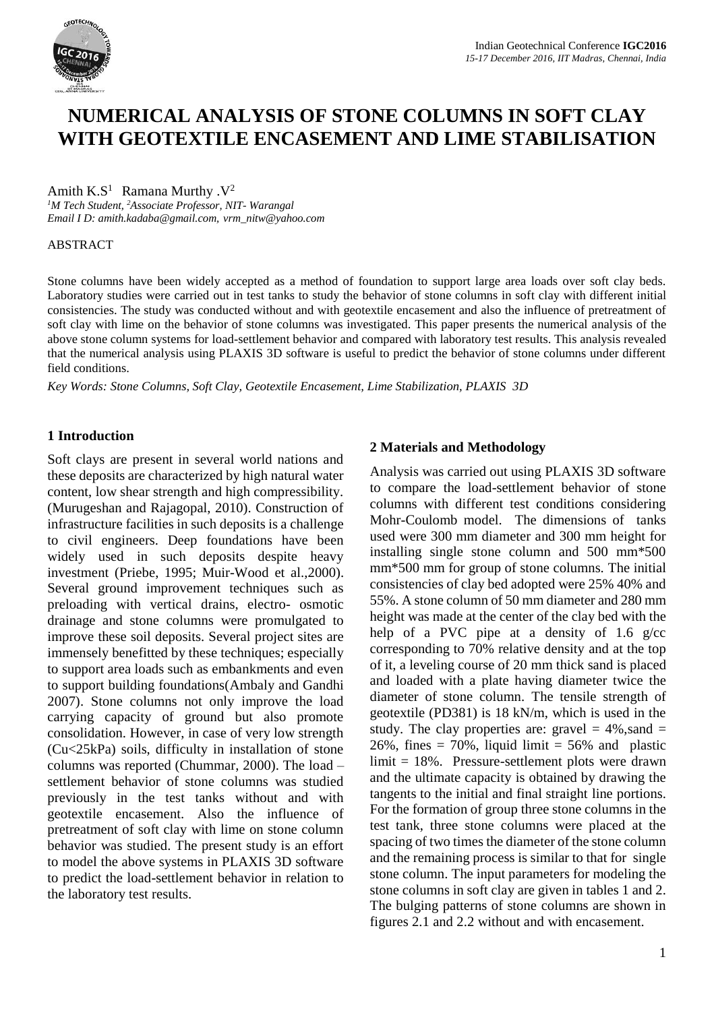

# **NUMERICAL ANALYSIS OF STONE COLUMNS IN SOFT CLAY WITH GEOTEXTILE ENCASEMENT AND LIME STABILISATION**

#### Amith  $K.S^1$  Ramana Murthy . $V^2$

*<sup>1</sup>M Tech Student, <sup>2</sup>Associate Professor, NIT- Warangal Email I D: amith.kadaba@gmail.com, vrm\_nitw@yahoo.com*

#### **ABSTRACT**

Stone columns have been widely accepted as a method of foundation to support large area loads over soft clay beds. Laboratory studies were carried out in test tanks to study the behavior of stone columns in soft clay with different initial consistencies. The study was conducted without and with geotextile encasement and also the influence of pretreatment of soft clay with lime on the behavior of stone columns was investigated. This paper presents the numerical analysis of the above stone column systems for load-settlement behavior and compared with laboratory test results. This analysis revealed that the numerical analysis using PLAXIS 3D software is useful to predict the behavior of stone columns under different field conditions.

*Key Words: Stone Columns, Soft Clay, Geotextile Encasement, Lime Stabilization, PLAXIS 3D*

## **1 Introduction**

Soft clays are present in several world nations and these deposits are characterized by high natural water content, low shear strength and high compressibility. (Murugeshan and Rajagopal, 2010). Construction of infrastructure facilities in such deposits is a challenge to civil engineers. Deep foundations have been widely used in such deposits despite heavy investment (Priebe, 1995; Muir-Wood et al.,2000). Several ground improvement techniques such as preloading with vertical drains, electro- osmotic drainage and stone columns were promulgated to improve these soil deposits. Several project sites are immensely benefitted by these techniques; especially to support area loads such as embankments and even to support building foundations(Ambaly and Gandhi 2007). Stone columns not only improve the load carrying capacity of ground but also promote consolidation. However, in case of very low strength (Cu<25kPa) soils, difficulty in installation of stone columns was reported (Chummar, 2000). The load – settlement behavior of stone columns was studied previously in the test tanks without and with geotextile encasement. Also the influence of pretreatment of soft clay with lime on stone column behavior was studied. The present study is an effort to model the above systems in PLAXIS 3D software to predict the load-settlement behavior in relation to the laboratory test results.

## **2 Materials and Methodology**

Analysis was carried out using PLAXIS 3D software to compare the load-settlement behavior of stone columns with different test conditions considering Mohr-Coulomb model. The dimensions of tanks used were 300 mm diameter and 300 mm height for installing single stone column and 500 mm\*500 mm\*500 mm for group of stone columns. The initial consistencies of clay bed adopted were 25% 40% and 55%. A stone column of 50 mm diameter and 280 mm height was made at the center of the clay bed with the help of a PVC pipe at a density of 1.6 g/cc corresponding to 70% relative density and at the top of it, a leveling course of 20 mm thick sand is placed and loaded with a plate having diameter twice the diameter of stone column. The tensile strength of geotextile (PD381) is 18 kN/m, which is used in the study. The clay properties are: gravel  $= 4\%$ , sand  $=$ 26%, fines  $= 70\%$ , liquid limit  $= 56\%$  and plastic limit = 18%. Pressure-settlement plots were drawn and the ultimate capacity is obtained by drawing the tangents to the initial and final straight line portions. For the formation of group three stone columns in the test tank, three stone columns were placed at the spacing of two times the diameter of the stone column and the remaining process is similar to that for single stone column. The input parameters for modeling the stone columns in soft clay are given in tables 1 and 2. The bulging patterns of stone columns are shown in figures 2.1 and 2.2 without and with encasement.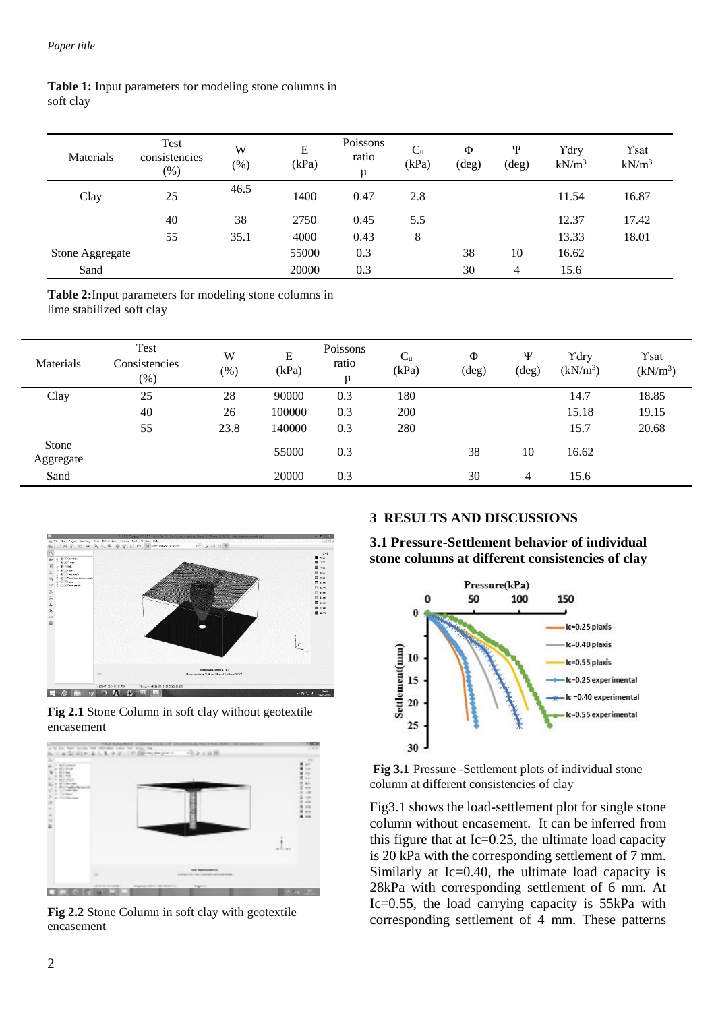#### **Table 1:** Input parameters for modeling stone columns in soft clay

| Materials       | Test<br>consistencies<br>(%) | W<br>$(\% )$ | E<br>(kPa) | Poissons<br>ratio<br>μ | $C_{u}$<br>(kPa) | Φ<br>(deg) | Ψ<br>(deg) | Ydry<br>$kN/m^3$ | Ysat<br>$kN/m^3$ |
|-----------------|------------------------------|--------------|------------|------------------------|------------------|------------|------------|------------------|------------------|
| Clay            | 25                           | 46.5         | 1400       | 0.47                   | 2.8              |            |            | 11.54            | 16.87            |
|                 | 40                           | 38           | 2750       | 0.45                   | 5.5              |            |            | 12.37            | 17.42            |
|                 | 55                           | 35.1         | 4000       | 0.43                   | 8                |            |            | 13.33            | 18.01            |
| Stone Aggregate |                              |              | 55000      | 0.3                    |                  | 38         | 10         | 16.62            |                  |
| Sand            |                              |              | 20000      | 0.3                    |                  | 30         | 4          | 15.6             |                  |

**Table 2:**Input parameters for modeling stone columns in lime stabilized soft clay

| Materials          | Test<br>Consistencies<br>(%) | W<br>(%) | E<br>(kPa) | Poissons<br>ratio<br>μ | $C_{u}$<br>(kPa) | Φ<br>$(\text{deg})$ | Ψ<br>$(\text{deg})$ | Ydry<br>(kN/m <sup>3</sup> ) | Ysat<br>(kN/m <sup>3</sup> ) |
|--------------------|------------------------------|----------|------------|------------------------|------------------|---------------------|---------------------|------------------------------|------------------------------|
| Clay               | 25                           | 28       | 90000      | 0.3                    | 180              |                     |                     | 14.7                         | 18.85                        |
|                    | 40                           | 26       | 100000     | 0.3                    | 200              |                     |                     | 15.18                        | 19.15                        |
|                    | 55                           | 23.8     | 140000     | 0.3                    | 280              |                     |                     | 15.7                         | 20.68                        |
| Stone<br>Aggregate |                              |          | 55000      | 0.3                    |                  | 38                  | 10                  | 16.62                        |                              |
| Sand               |                              |          | 20000      | 0.3                    |                  | 30                  | $\overline{4}$      | 15.6                         |                              |



**Fig 2.1** Stone Column in soft clay without geotextile encasement



**Fig 2.2** Stone Column in soft clay with geotextile encasement

## **3 RESULTS AND DISCUSSIONS**

**3.1 Pressure-Settlement behavior of individual stone columns at different consistencies of clay** 



**Fig 3.1** Pressure -Settlement plots of individual stone column at different consistencies of clay

Fig3.1 shows the load-settlement plot for single stone column without encasement. It can be inferred from this figure that at Ic=0.25, the ultimate load capacity is 20 kPa with the corresponding settlement of 7 mm. Similarly at Ic=0.40, the ultimate load capacity is 28kPa with corresponding settlement of 6 mm. At Ic=0.55, the load carrying capacity is 55kPa with corresponding settlement of 4 mm. These patterns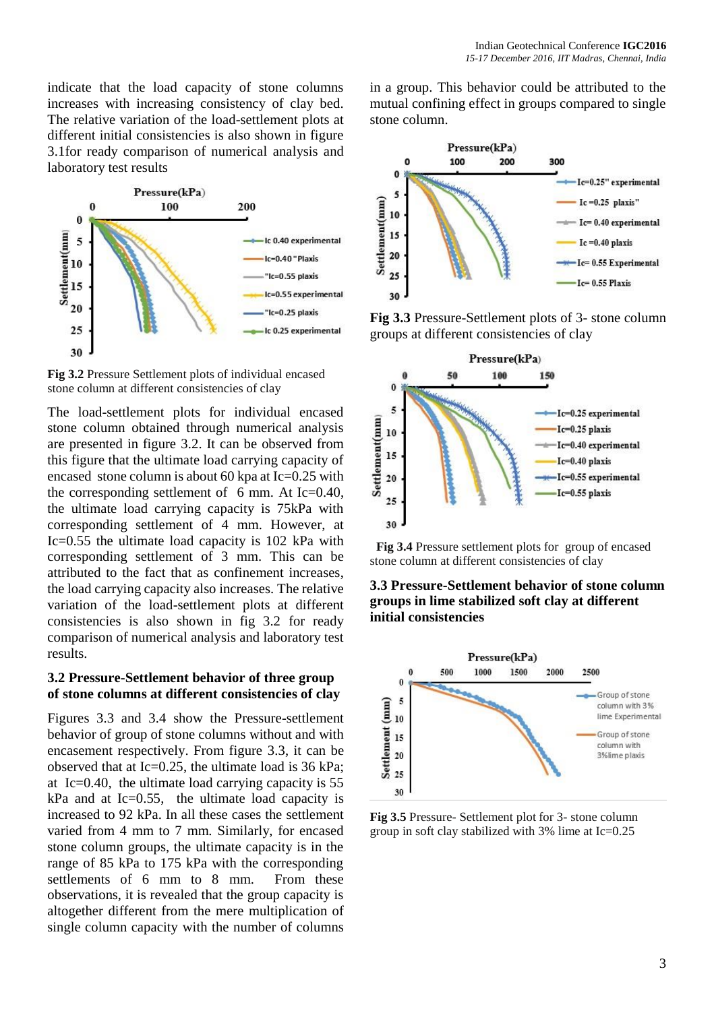indicate that the load capacity of stone columns increases with increasing consistency of clay bed. The relative variation of the load-settlement plots at different initial consistencies is also shown in figure 3.1for ready comparison of numerical analysis and laboratory test results



**Fig 3.2** Pressure Settlement plots of individual encased stone column at different consistencies of clay

The load-settlement plots for individual encased stone column obtained through numerical analysis are presented in figure 3.2. It can be observed from this figure that the ultimate load carrying capacity of encased stone column is about 60 kpa at Ic=0.25 with the corresponding settlement of 6 mm. At Ic=0.40, the ultimate load carrying capacity is 75kPa with corresponding settlement of 4 mm. However, at Ic=0.55 the ultimate load capacity is 102 kPa with corresponding settlement of 3 mm. This can be attributed to the fact that as confinement increases, the load carrying capacity also increases. The relative variation of the load-settlement plots at different consistencies is also shown in fig 3.2 for ready comparison of numerical analysis and laboratory test results.

#### **3.2 Pressure-Settlement behavior of three group of stone columns at different consistencies of clay**

Figures 3.3 and 3.4 show the Pressure-settlement behavior of group of stone columns without and with encasement respectively. From figure 3.3, it can be observed that at Ic=0.25, the ultimate load is 36 kPa; at Ic=0.40, the ultimate load carrying capacity is 55  $kPa$  and at Ic=0.55, the ultimate load capacity is increased to 92 kPa. In all these cases the settlement varied from 4 mm to 7 mm. Similarly, for encased stone column groups, the ultimate capacity is in the range of 85 kPa to 175 kPa with the corresponding settlements of 6 mm to 8 mm. From these observations, it is revealed that the group capacity is altogether different from the mere multiplication of single column capacity with the number of columns

in a group. This behavior could be attributed to the mutual confining effect in groups compared to single stone column.



**Fig 3.3** Pressure-Settlement plots of 3- stone column groups at different consistencies of clay



**Fig 3.4** Pressure settlement plots for group of encased stone column at different consistencies of clay





**Fig 3.5** Pressure- Settlement plot for 3- stone column group in soft clay stabilized with 3% lime at Ic=0.25